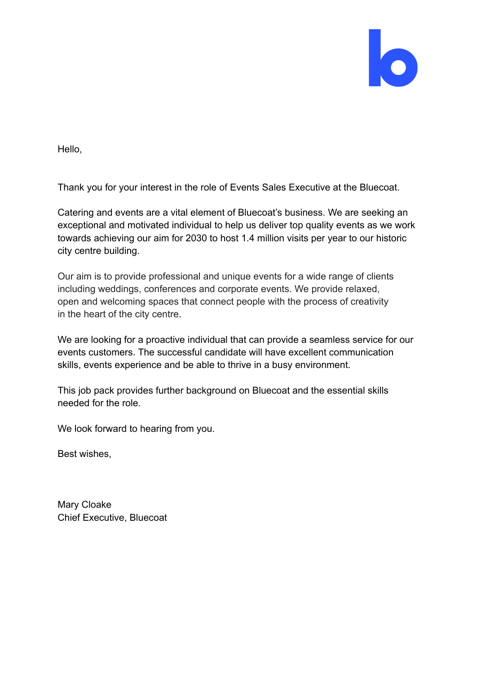

Hello,

Thank you for your interest in the role of Events Sales Executive at the Bluecoat.

Catering and events are a vital element of Bluecoat's business. We are seeking an exceptional and motivated individual to help us deliver top quality events as we work towards achieving our aim for 2030 to host 1.4 million visits per year to our historic city centre building.

Our aim is to provide professional and unique events for a wide range of clients including weddings, conferences and corporate events. We provide relaxed, open and welcoming spaces that connect people with the process of creativity in the heart of the city centre.

We are looking for a proactive individual that can provide a seamless service for our events customers. The successful candidate will have excellent communication skills, events experience and be able to thrive in a busy environment.

This job pack provides further background on Bluecoat and the essential skills needed for the role.

We look forward to hearing from you.

Best wishes,

Mary Cloake Chief Executive, Bluecoat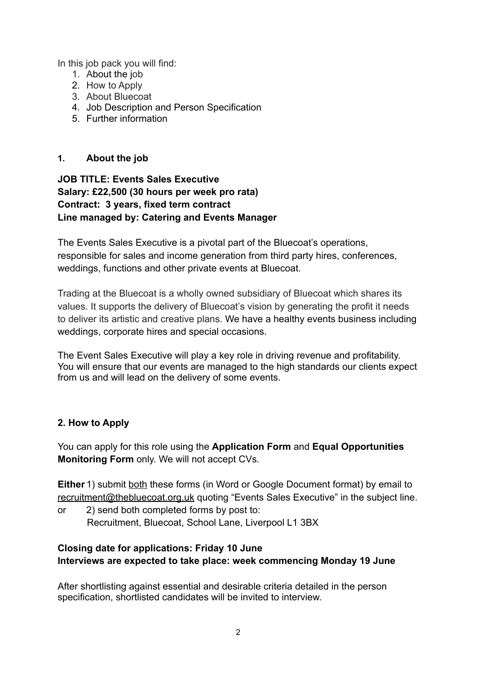In this job pack you will find:

- 1. About the job
- 2. How to Apply
- 3. About Bluecoat
- 4. Job Description and Person Specification
- 5. Further information

## **1. About the job**

## **JOB TITLE: Events Sales Executive Salary: £22,500 (30 hours per week pro rata) Contract: 3 years, fixed term contract Line managed by: Catering and Events Manager**

The Events Sales Executive is a pivotal part of the Bluecoat's operations, responsible for sales and income generation from third party hires, conferences, weddings, functions and other private events at Bluecoat.

Trading at the Bluecoat is a wholly owned subsidiary of Bluecoat which shares its values. It supports the delivery of Bluecoat's vision by generating the profit it needs to deliver its artistic and creative plans. We have a healthy events business including weddings, corporate hires and special occasions.

The Event Sales Executive will play a key role in driving revenue and profitability. You will ensure that our events are managed to the high standards our clients expect from us and will lead on the delivery of some events.

# **2. How to Apply**

You can apply for this role using the **Application Form** and **Equal Opportunities Monitoring Form** only. We will not accept CVs.

**Either** 1) submit both these forms (in Word or Google Document format) by email to [recruitment@thebluecoat.org.uk](mailto:recruitment@thebluecoat.org.uk) quoting "Events Sales Executive" in the subject line.

or 2) send both completed forms by post to: Recruitment, Bluecoat, School Lane, Liverpool L1 3BX

## **Closing date for applications: Friday 10 June Interviews are expected to take place: week commencing Monday 19 June**

After shortlisting against essential and desirable criteria detailed in the person specification, shortlisted candidates will be invited to interview.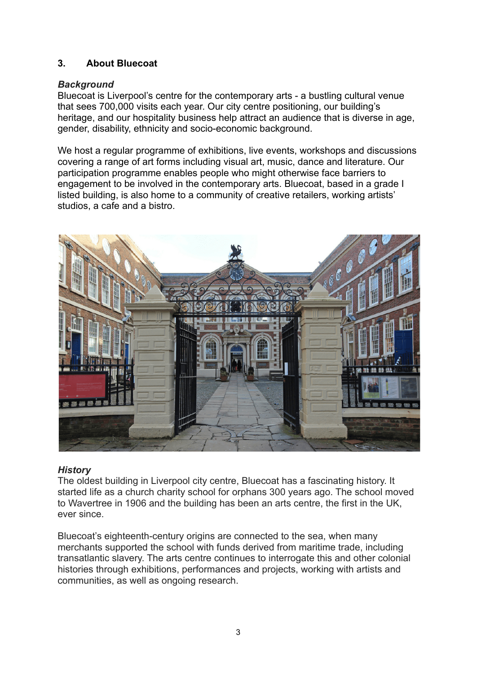# **3. About Bluecoat**

### *Background*

Bluecoat is Liverpool's centre for the contemporary arts - a bustling cultural venue that sees 700,000 visits each year. Our city centre positioning, our building's heritage, and our hospitality business help attract an audience that is diverse in age, gender, disability, ethnicity and socio-economic background.

We host a regular programme of exhibitions, live events, workshops and discussions covering a range of art forms including visual art, music, dance and literature. Our participation programme enables people who might otherwise face barriers to engagement to be involved in the contemporary arts. Bluecoat, based in a grade I listed building, is also home to a community of creative retailers, working artists' studios, a cafe and a bistro.



#### *History*

The oldest building in Liverpool city centre, Bluecoat has a fascinating history. It started life as a church charity school for orphans 300 years ago. The school moved to Wavertree in 1906 and the building has been an arts centre, the first in the UK, ever since.

Bluecoat's eighteenth-century origins are connected to the sea, when many merchants supported the school with funds derived from maritime trade, including transatlantic slavery. The arts centre continues to interrogate this and other colonial histories through exhibitions, performances and projects, working with artists and communities, as well as ongoing research.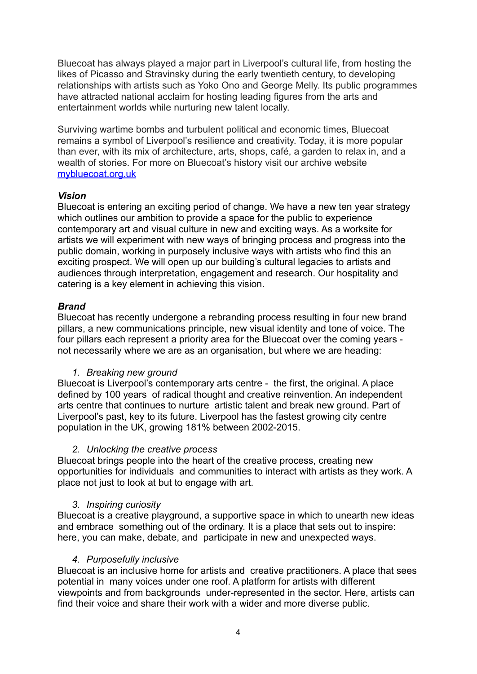Bluecoat has always played a major part in Liverpool's cultural life, from hosting the likes of Picasso and Stravinsky during the early twentieth century, to developing relationships with artists such as Yoko Ono and George Melly. Its public programmes have attracted national acclaim for hosting leading figures from the arts and entertainment worlds while nurturing new talent locally.

Surviving wartime bombs and turbulent political and economic times, Bluecoat remains a symbol of Liverpool's resilience and creativity. Today, it is more popular than ever, with its mix of architecture, arts, shops, café, a garden to relax in, and a wealth of stories. For more on Bluecoat's history visit our archive website [mybluecoat.org.uk](http://www.mybluecoat.org.uk/)

#### *Vision*

Bluecoat is entering an exciting period of change. We have a new ten year strategy which outlines our ambition to provide a space for the public to experience contemporary art and visual culture in new and exciting ways. As a worksite for artists we will experiment with new ways of bringing process and progress into the public domain, working in purposely inclusive ways with artists who find this an exciting prospect. We will open up our building's cultural legacies to artists and audiences through interpretation, engagement and research. Our hospitality and catering is a key element in achieving this vision.

### *Brand*

Bluecoat has recently undergone a rebranding process resulting in four new brand pillars, a new communications principle, new visual identity and tone of voice. The four pillars each represent a priority area for the Bluecoat over the coming years not necessarily where we are as an organisation, but where we are heading:

## *1. Breaking new ground*

Bluecoat is Liverpool's contemporary arts centre - the first, the original. A place defined by 100 years of radical thought and creative reinvention. An independent arts centre that continues to nurture artistic talent and break new ground. Part of Liverpool's past, key to its future. Liverpool has the fastest growing city centre population in the UK, growing 181% between 2002-2015.

#### *2. Unlocking the creative process*

Bluecoat brings people into the heart of the creative process, creating new opportunities for individuals and communities to interact with artists as they work. A place not just to look at but to engage with art.

## *3. Inspiring curiosity*

Bluecoat is a creative playground, a supportive space in which to unearth new ideas and embrace something out of the ordinary. It is a place that sets out to inspire: here, you can make, debate, and participate in new and unexpected ways.

#### *4. Purposefully inclusive*

Bluecoat is an inclusive home for artists and creative practitioners. A place that sees potential in many voices under one roof. A platform for artists with different viewpoints and from backgrounds under-represented in the sector. Here, artists can find their voice and share their work with a wider and more diverse public.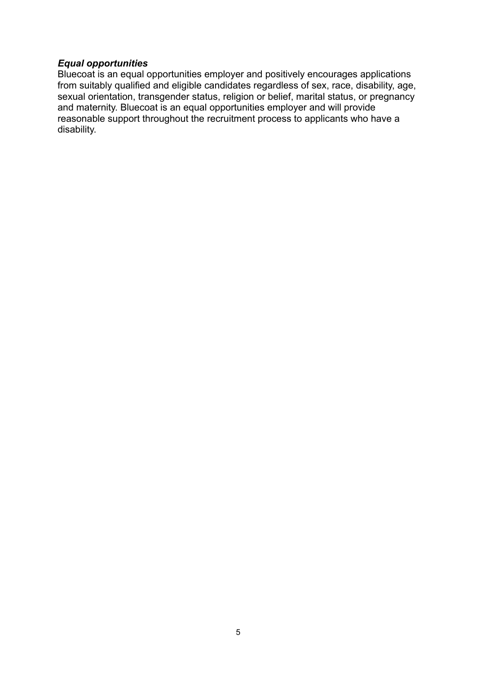#### *Equal opportunities*

Bluecoat is an equal opportunities employer and positively encourages applications from suitably qualified and eligible candidates regardless of sex, race, disability, age, sexual orientation, transgender status, religion or belief, marital status, or pregnancy and maternity. Bluecoat is an equal opportunities employer and will provide reasonable support throughout the recruitment process to applicants who have a disability.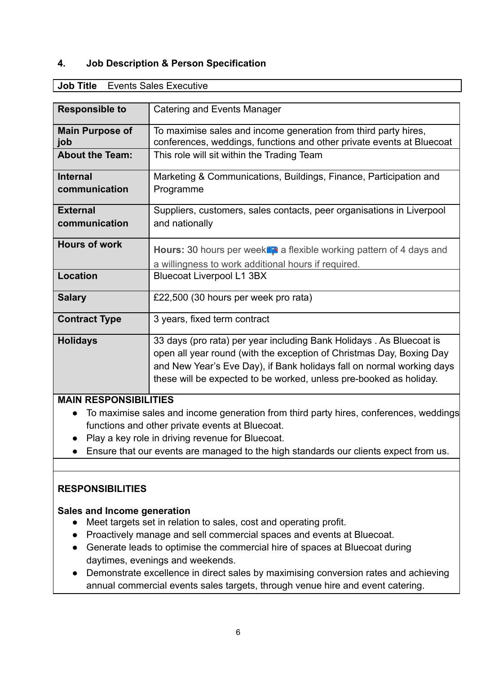### **4. Job Description & Person Specification**

| <b>Responsible to</b>                                                                 | <b>Catering and Events Manager</b>                                                                                                       |
|---------------------------------------------------------------------------------------|------------------------------------------------------------------------------------------------------------------------------------------|
| <b>Main Purpose of</b><br>job                                                         | To maximise sales and income generation from third party hires,<br>conferences, weddings, functions and other private events at Bluecoat |
| <b>About the Team:</b>                                                                | This role will sit within the Trading Team                                                                                               |
| <b>Internal</b>                                                                       | Marketing & Communications, Buildings, Finance, Participation and                                                                        |
| communication                                                                         | Programme                                                                                                                                |
| <b>External</b>                                                                       | Suppliers, customers, sales contacts, peer organisations in Liverpool                                                                    |
| communication                                                                         | and nationally                                                                                                                           |
| <b>Hours of work</b>                                                                  | Hours: 30 hours per week <sup>o</sup> n a flexible working pattern of 4 days and                                                         |
|                                                                                       |                                                                                                                                          |
|                                                                                       | a willingness to work additional hours if required.                                                                                      |
| <b>Location</b>                                                                       | <b>Bluecoat Liverpool L1 3BX</b>                                                                                                         |
| <b>Salary</b>                                                                         | £22,500 (30 hours per week pro rata)                                                                                                     |
| <b>Contract Type</b>                                                                  | 3 years, fixed term contract                                                                                                             |
| <b>Holidays</b>                                                                       | 33 days (pro rata) per year including Bank Holidays. As Bluecoat is                                                                      |
|                                                                                       | open all year round (with the exception of Christmas Day, Boxing Day                                                                     |
|                                                                                       | and New Year's Eve Day), if Bank holidays fall on normal working days                                                                    |
|                                                                                       | these will be expected to be worked, unless pre-booked as holiday.                                                                       |
| <b>MAIN RESPONSIBILITIES</b>                                                          |                                                                                                                                          |
| To maximise sales and income generation from third party hires, conferences, weddings |                                                                                                                                          |
|                                                                                       |                                                                                                                                          |

#### **Job Title** Events Sales Executive

#### functions and other private events at Bluecoat. **●** Play a key role in driving revenue for Bluecoat.

**●** Ensure that our events are managed to the high standards our clients expect from us.

#### **RESPONSIBILITIES**

#### **Sales and Income generation**

- Meet targets set in relation to sales, cost and operating profit.
- Proactively manage and sell commercial spaces and events at Bluecoat.
- Generate leads to optimise the commercial hire of spaces at Bluecoat during daytimes, evenings and weekends.
- Demonstrate excellence in direct sales by maximising conversion rates and achieving annual commercial events sales targets, through venue hire and event catering.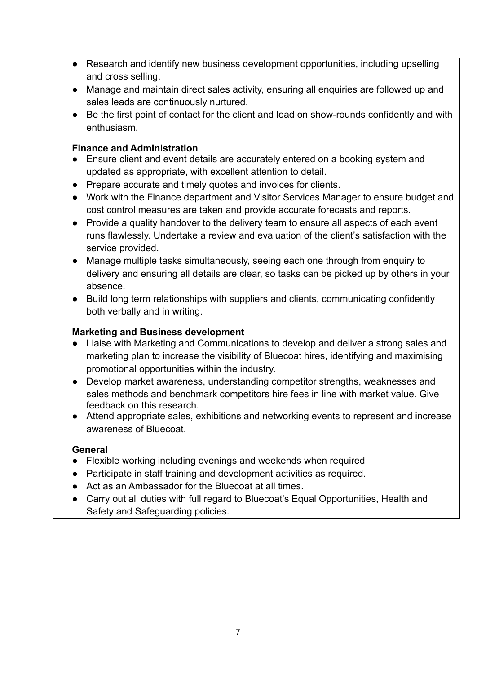- Research and identify new business development opportunities, including upselling and cross selling.
- Manage and maintain direct sales activity, ensuring all enquiries are followed up and sales leads are continuously nurtured.
- Be the first point of contact for the client and lead on show-rounds confidently and with enthusiasm.

## **Finance and Administration**

- Ensure client and event details are accurately entered on a booking system and updated as appropriate, with excellent attention to detail.
- Prepare accurate and timely quotes and invoices for clients.
- Work with the Finance department and Visitor Services Manager to ensure budget and cost control measures are taken and provide accurate forecasts and reports.
- Provide a quality handover to the delivery team to ensure all aspects of each event runs flawlessly. Undertake a review and evaluation of the client's satisfaction with the service provided.
- Manage multiple tasks simultaneously, seeing each one through from enquiry to delivery and ensuring all details are clear, so tasks can be picked up by others in your absence.
- Build long term relationships with suppliers and clients, communicating confidently both verbally and in writing.

# **Marketing and Business development**

- Liaise with Marketing and Communications to develop and deliver a strong sales and marketing plan to increase the visibility of Bluecoat hires, identifying and maximising promotional opportunities within the industry.
- Develop market awareness, understanding competitor strengths, weaknesses and sales methods and benchmark competitors hire fees in line with market value. Give feedback on this research.
- Attend appropriate sales, exhibitions and networking events to represent and increase awareness of Bluecoat.

## **General**

- Flexible working including evenings and weekends when required
- Participate in staff training and development activities as required.
- Act as an Ambassador for the Bluecoat at all times.
- Carry out all duties with full regard to Bluecoat's Equal Opportunities, Health and Safety and Safeguarding policies.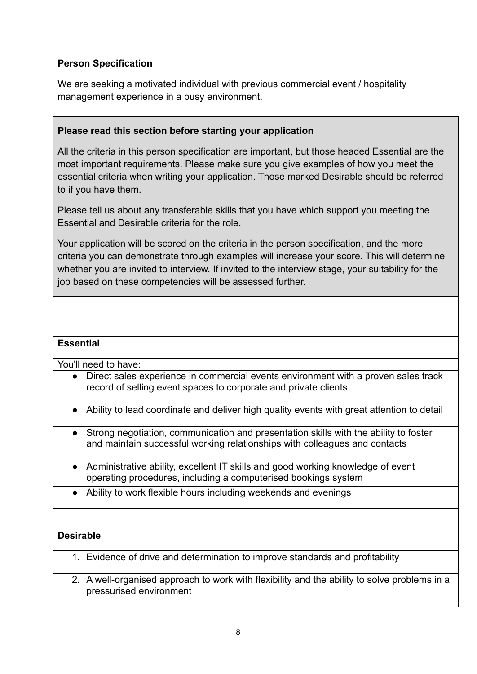# **Person Specification**

We are seeking a motivated individual with previous commercial event / hospitality management experience in a busy environment.

## **Please read this section before starting your application**

All the criteria in this person specification are important, but those headed Essential are the most important requirements. Please make sure you give examples of how you meet the essential criteria when writing your application. Those marked Desirable should be referred to if you have them.

Please tell us about any transferable skills that you have which support you meeting the Essential and Desirable criteria for the role.

Your application will be scored on the criteria in the person specification, and the more criteria you can demonstrate through examples will increase your score. This will determine whether you are invited to interview. If invited to the interview stage, your suitability for the job based on these competencies will be assessed further.

#### **Essential**

You'll need to have:

- Direct sales experience in commercial events environment with a proven sales track record of selling event spaces to corporate and private clients
- Ability to lead coordinate and deliver high quality events with great attention to detail
- Strong negotiation, communication and presentation skills with the ability to foster and maintain successful working relationships with colleagues and contacts
- Administrative ability, excellent IT skills and good working knowledge of event operating procedures, including a computerised bookings system
- Ability to work flexible hours including weekends and evenings

## **Desirable**

- 1. Evidence of drive and determination to improve standards and profitability
- 2. A well-organised approach to work with flexibility and the ability to solve problems in a pressurised environment